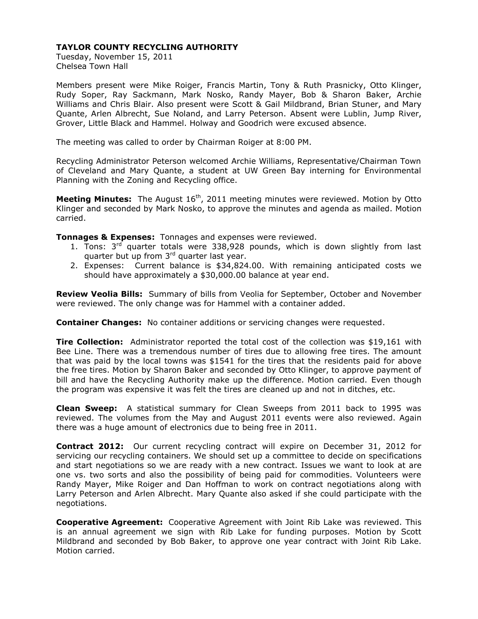Tuesday, November 15, 2011 Chelsea Town Hall

Members present were Mike Roiger, Francis Martin, Tony & Ruth Prasnicky, Otto Klinger, Rudy Soper, Ray Sackmann, Mark Nosko, Randy Mayer, Bob & Sharon Baker, Archie Williams and Chris Blair. Also present were Scott & Gail Mildbrand, Brian Stuner, and Mary Quante, Arlen Albrecht, Sue Noland, and Larry Peterson. Absent were Lublin, Jump River, Grover, Little Black and Hammel. Holway and Goodrich were excused absence.

The meeting was called to order by Chairman Roiger at 8:00 PM.

Recycling Administrator Peterson welcomed Archie Williams, Representative/Chairman Town of Cleveland and Mary Quante, a student at UW Green Bay interning for Environmental Planning with the Zoning and Recycling office.

**Meeting Minutes:** The August 16<sup>th</sup>, 2011 meeting minutes were reviewed. Motion by Otto Klinger and seconded by Mark Nosko, to approve the minutes and agenda as mailed. Motion carried.

**Tonnages & Expenses:** Tonnages and expenses were reviewed.

- 1. Tons:  $3<sup>rd</sup>$  quarter totals were 338,928 pounds, which is down slightly from last quarter but up from 3<sup>rd</sup> quarter last year.
- 2. Expenses: Current balance is \$34,824.00. With remaining anticipated costs we should have approximately a \$30,000.00 balance at year end.

**Review Veolia Bills:** Summary of bills from Veolia for September, October and November were reviewed. The only change was for Hammel with a container added.

**Container Changes:** No container additions or servicing changes were requested.

**Tire Collection:** Administrator reported the total cost of the collection was \$19,161 with Bee Line. There was a tremendous number of tires due to allowing free tires. The amount that was paid by the local towns was \$1541 for the tires that the residents paid for above the free tires. Motion by Sharon Baker and seconded by Otto Klinger, to approve payment of bill and have the Recycling Authority make up the difference. Motion carried. Even though the program was expensive it was felt the tires are cleaned up and not in ditches, etc.

**Clean Sweep:** A statistical summary for Clean Sweeps from 2011 back to 1995 was reviewed. The volumes from the May and August 2011 events were also reviewed. Again there was a huge amount of electronics due to being free in 2011.

**Contract 2012:** Our current recycling contract will expire on December 31, 2012 for servicing our recycling containers. We should set up a committee to decide on specifications and start negotiations so we are ready with a new contract. Issues we want to look at are one vs. two sorts and also the possibility of being paid for commodities. Volunteers were Randy Mayer, Mike Roiger and Dan Hoffman to work on contract negotiations along with Larry Peterson and Arlen Albrecht. Mary Quante also asked if she could participate with the negotiations.

**Cooperative Agreement:** Cooperative Agreement with Joint Rib Lake was reviewed. This is an annual agreement we sign with Rib Lake for funding purposes. Motion by Scott Mildbrand and seconded by Bob Baker, to approve one year contract with Joint Rib Lake. Motion carried.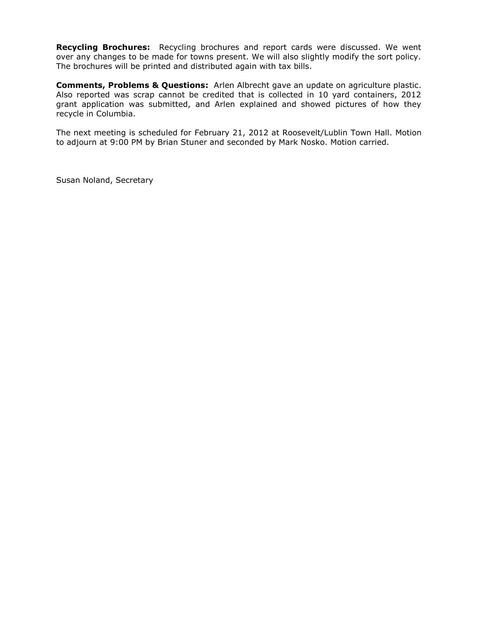**Recycling Brochures:** Recycling brochures and report cards were discussed. We went over any changes to be made for towns present. We will also slightly modify the sort policy. The brochures will be printed and distributed again with tax bills.

**Comments, Problems & Questions:** Arlen Albrecht gave an update on agriculture plastic. Also reported was scrap cannot be credited that is collected in 10 yard containers, 2012 grant application was submitted, and Arlen explained and showed pictures of how they recycle in Columbia.

The next meeting is scheduled for February 21, 2012 at Roosevelt/Lublin Town Hall. Motion to adjourn at 9:00 PM by Brian Stuner and seconded by Mark Nosko. Motion carried.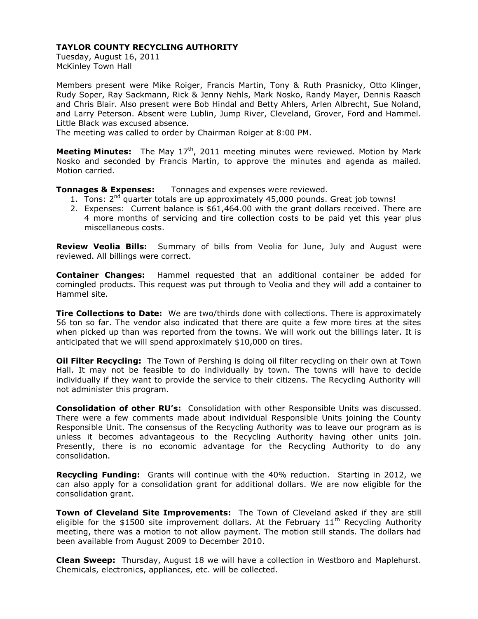Tuesday, August 16, 2011 McKinley Town Hall

Members present were Mike Roiger, Francis Martin, Tony & Ruth Prasnicky, Otto Klinger, Rudy Soper, Ray Sackmann, Rick & Jenny Nehls, Mark Nosko, Randy Mayer, Dennis Raasch and Chris Blair. Also present were Bob Hindal and Betty Ahlers, Arlen Albrecht, Sue Noland, and Larry Peterson. Absent were Lublin, Jump River, Cleveland, Grover, Ford and Hammel. Little Black was excused absence.

The meeting was called to order by Chairman Roiger at 8:00 PM.

**Meeting Minutes:** The May 17<sup>th</sup>, 2011 meeting minutes were reviewed. Motion by Mark Nosko and seconded by Francis Martin, to approve the minutes and agenda as mailed. Motion carried.

**Tonnages & Expenses:** Tonnages and expenses were reviewed.

- 1. Tons:  $2^{nd}$  quarter totals are up approximately 45,000 pounds. Great job towns!
- 2. Expenses: Current balance is \$61,464.00 with the grant dollars received. There are 4 more months of servicing and tire collection costs to be paid yet this year plus miscellaneous costs.

**Review Veolia Bills:** Summary of bills from Veolia for June, July and August were reviewed. All billings were correct.

**Container Changes:** Hammel requested that an additional container be added for comingled products. This request was put through to Veolia and they will add a container to Hammel site.

**Tire Collections to Date:** We are two/thirds done with collections. There is approximately 56 ton so far. The vendor also indicated that there are quite a few more tires at the sites when picked up than was reported from the towns. We will work out the billings later. It is anticipated that we will spend approximately \$10,000 on tires.

**Oil Filter Recycling:** The Town of Pershing is doing oil filter recycling on their own at Town Hall. It may not be feasible to do individually by town. The towns will have to decide individually if they want to provide the service to their citizens. The Recycling Authority will not administer this program.

**Consolidation of other RU's:** Consolidation with other Responsible Units was discussed. There were a few comments made about individual Responsible Units joining the County Responsible Unit. The consensus of the Recycling Authority was to leave our program as is unless it becomes advantageous to the Recycling Authority having other units join. Presently, there is no economic advantage for the Recycling Authority to do any consolidation.

**Recycling Funding:** Grants will continue with the 40% reduction. Starting in 2012, we can also apply for a consolidation grant for additional dollars. We are now eligible for the consolidation grant.

**Town of Cleveland Site Improvements:** The Town of Cleveland asked if they are still eligible for the \$1500 site improvement dollars. At the February  $11<sup>th</sup>$  Recycling Authority meeting, there was a motion to not allow payment. The motion still stands. The dollars had been available from August 2009 to December 2010.

**Clean Sweep:** Thursday, August 18 we will have a collection in Westboro and Maplehurst. Chemicals, electronics, appliances, etc. will be collected.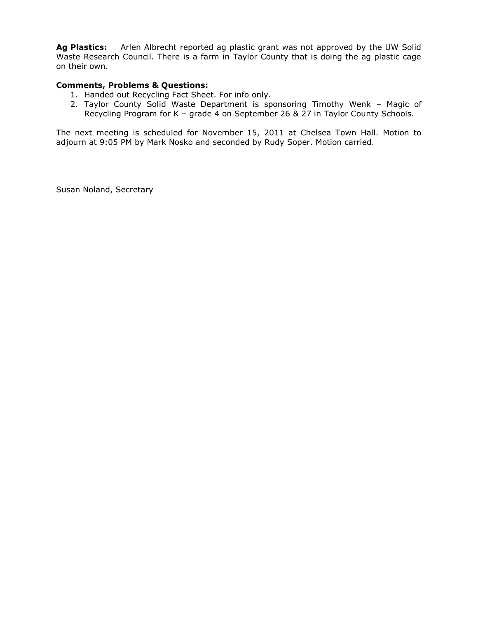**Ag Plastics:**Arlen Albrecht reported ag plastic grant was not approved by the UW Solid Waste Research Council. There is a farm in Taylor County that is doing the ag plastic cage on their own.

### **Comments, Problems & Questions:**

- 1. Handed out Recycling Fact Sheet. For info only.
- 2. Taylor County Solid Waste Department is sponsoring Timothy Wenk Magic of Recycling Program for K – grade 4 on September 26 & 27 in Taylor County Schools.

The next meeting is scheduled for November 15, 2011 at Chelsea Town Hall. Motion to adjourn at 9:05 PM by Mark Nosko and seconded by Rudy Soper. Motion carried.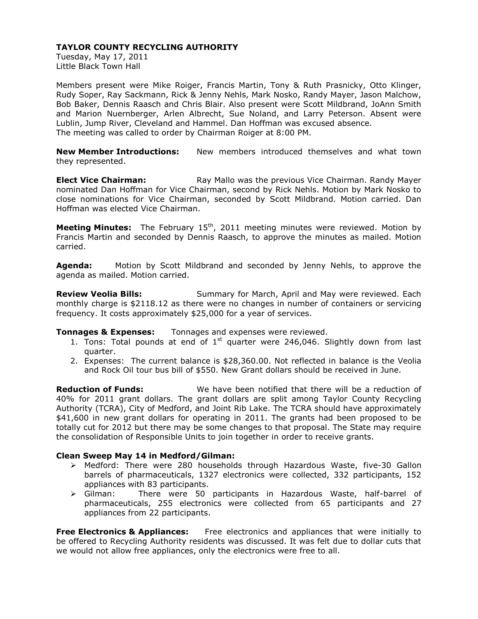Tuesday, May 17, 2011 Little Black Town Hall

Members present were Mike Roiger, Francis Martin, Tony & Ruth Prasnicky, Otto Klinger, Rudy Soper, Ray Sackmann, Rick & Jenny Nehls, Mark Nosko, Randy Mayer, Jason Malchow, Bob Baker, Dennis Raasch and Chris Blair. Also present were Scott Mildbrand, JoAnn Smith and Marion Nuernberger, Arlen Albrecht, Sue Noland, and Larry Peterson. Absent were Lublin, Jump River, Cleveland and Hammel. Dan Hoffman was excused absence. The meeting was called to order by Chairman Roiger at 8:00 PM.

**New Member Introductions:** New members introduced themselves and what town they represented.

**Elect Vice Chairman:** Ray Mallo was the previous Vice Chairman. Randy Mayer nominated Dan Hoffman for Vice Chairman, second by Rick Nehls. Motion by Mark Nosko to close nominations for Vice Chairman, seconded by Scott Mildbrand. Motion carried. Dan Hoffman was elected Vice Chairman.

**Meeting Minutes:** The February 15<sup>th</sup>, 2011 meeting minutes were reviewed. Motion by Francis Martin and seconded by Dennis Raasch, to approve the minutes as mailed. Motion carried.

**Agenda:** Motion by Scott Mildbrand and seconded by Jenny Nehls, to approve the agenda as mailed. Motion carried.

**Review Veolia Bills:** Summary for March, April and May were reviewed. Each monthly charge is \$2118.12 as there were no changes in number of containers or servicing frequency. It costs approximately \$25,000 for a year of services.

### **Tonnages & Expenses:** Tonnages and expenses were reviewed.

- 1. Tons: Total pounds at end of  $1<sup>st</sup>$  quarter were 246,046. Slightly down from last quarter.
- 2. Expenses: The current balance is \$28,360.00. Not reflected in balance is the Veolia and Rock Oil tour bus bill of \$550. New Grant dollars should be received in June.

**Reduction of Funds:** We have been notified that there will be a reduction of 40% for 2011 grant dollars. The grant dollars are split among Taylor County Recycling Authority (TCRA), City of Medford, and Joint Rib Lake. The TCRA should have approximately \$41,600 in new grant dollars for operating in 2011. The grants had been proposed to be totally cut for 2012 but there may be some changes to that proposal. The State may require the consolidation of Responsible Units to join together in order to receive grants.

### **Clean Sweep May 14 in Medford/Gilman:**

- Medford: There were 280 households through Hazardous Waste, five-30 Gallon barrels of pharmaceuticals, 1327 electronics were collected, 332 participants, 152 appliances with 83 participants.
- Gilman: There were 50 participants in Hazardous Waste, half-barrel of pharmaceuticals, 255 electronics were collected from 65 participants and 27 appliances from 22 participants.

**Free Electronics & Appliances:** Free electronics and appliances that were initially to be offered to Recycling Authority residents was discussed. It was felt due to dollar cuts that we would not allow free appliances, only the electronics were free to all.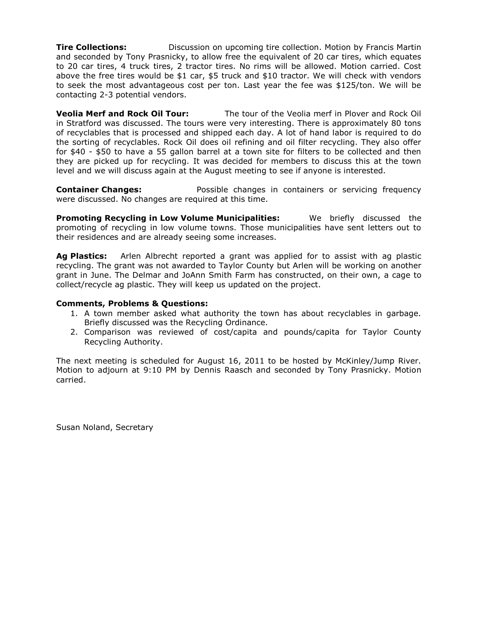**Tire Collections: Discussion on upcoming tire collection. Motion by Francis Martin** and seconded by Tony Prasnicky, to allow free the equivalent of 20 car tires, which equates to 20 car tires, 4 truck tires, 2 tractor tires. No rims will be allowed. Motion carried. Cost above the free tires would be \$1 car, \$5 truck and \$10 tractor. We will check with vendors to seek the most advantageous cost per ton. Last year the fee was \$125/ton. We will be contacting 2-3 potential vendors.

**Veolia Merf and Rock Oil Tour:** The tour of the Veolia merf in Plover and Rock Oil in Stratford was discussed. The tours were very interesting. There is approximately 80 tons of recyclables that is processed and shipped each day. A lot of hand labor is required to do the sorting of recyclables. Rock Oil does oil refining and oil filter recycling. They also offer for \$40 - \$50 to have a 55 gallon barrel at a town site for filters to be collected and then they are picked up for recycling. It was decided for members to discuss this at the town level and we will discuss again at the August meeting to see if anyone is interested.

**Container Changes:** Possible changes in containers or servicing frequency were discussed. No changes are required at this time.

**Promoting Recycling in Low Volume Municipalities:** We briefly discussed the promoting of recycling in low volume towns. Those municipalities have sent letters out to their residences and are already seeing some increases.

**Ag Plastics:**Arlen Albrecht reported a grant was applied for to assist with ag plastic recycling. The grant was not awarded to Taylor County but Arlen will be working on another grant in June. The Delmar and JoAnn Smith Farm has constructed, on their own, a cage to collect/recycle ag plastic. They will keep us updated on the project.

### **Comments, Problems & Questions:**

- 1. A town member asked what authority the town has about recyclables in garbage. Briefly discussed was the Recycling Ordinance.
- 2. Comparison was reviewed of cost/capita and pounds/capita for Taylor County Recycling Authority.

The next meeting is scheduled for August 16, 2011 to be hosted by McKinley/Jump River. Motion to adjourn at 9:10 PM by Dennis Raasch and seconded by Tony Prasnicky. Motion carried.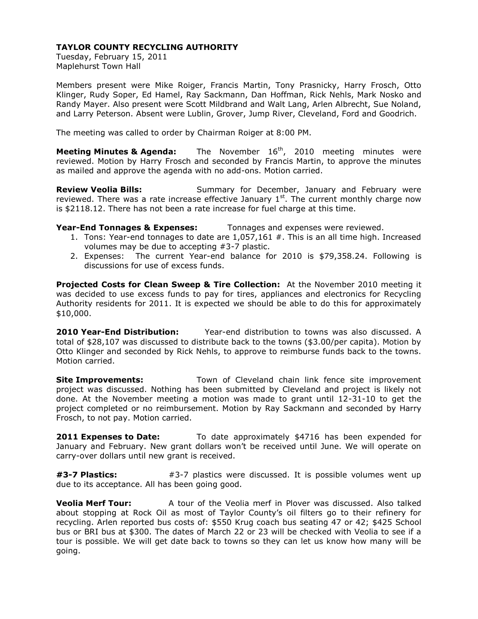Tuesday, February 15, 2011 Maplehurst Town Hall

Members present were Mike Roiger, Francis Martin, Tony Prasnicky, Harry Frosch, Otto Klinger, Rudy Soper, Ed Hamel, Ray Sackmann, Dan Hoffman, Rick Nehls, Mark Nosko and Randy Mayer. Also present were Scott Mildbrand and Walt Lang, Arlen Albrecht, Sue Noland, and Larry Peterson. Absent were Lublin, Grover, Jump River, Cleveland, Ford and Goodrich.

The meeting was called to order by Chairman Roiger at 8:00 PM.

**Meeting Minutes & Agenda:** The November 16<sup>th</sup>, 2010 meeting minutes were reviewed. Motion by Harry Frosch and seconded by Francis Martin, to approve the minutes as mailed and approve the agenda with no add-ons. Motion carried.

**Review Veolia Bills:** Summary for December, January and February were reviewed. There was a rate increase effective January  $1<sup>st</sup>$ . The current monthly charge now is \$2118.12. There has not been a rate increase for fuel charge at this time.

# **Year-End Tonnages & Expenses:** Tonnages and expenses were reviewed.

- 1. Tons: Year-end tonnages to date are  $1.057,161 \#$ . This is an all time high. Increased volumes may be due to accepting #3-7 plastic.
- 2. Expenses: The current Year-end balance for 2010 is \$79,358.24. Following is discussions for use of excess funds.

**Projected Costs for Clean Sweep & Tire Collection:** At the November 2010 meeting it was decided to use excess funds to pay for tires, appliances and electronics for Recycling Authority residents for 2011. It is expected we should be able to do this for approximately \$10,000.

**2010 Year-End Distribution:**Year-end distribution to towns was also discussed. A total of \$28,107 was discussed to distribute back to the towns (\$3.00/per capita). Motion by Otto Klinger and seconded by Rick Nehls, to approve to reimburse funds back to the towns. Motion carried.

**Site Improvements:** Town of Cleveland chain link fence site improvement project was discussed. Nothing has been submitted by Cleveland and project is likely not done. At the November meeting a motion was made to grant until 12-31-10 to get the project completed or no reimbursement. Motion by Ray Sackmann and seconded by Harry Frosch, to not pay. Motion carried.

**2011 Expenses to Date:** To date approximately \$4716 has been expended for January and February. New grant dollars won't be received until June. We will operate on carry-over dollars until new grant is received.

**#3-7 Plastics:** #3-7 plastics were discussed. It is possible volumes went up due to its acceptance. All has been going good.

**Veolia Merf Tour:** A tour of the Veolia merf in Plover was discussed. Also talked about stopping at Rock Oil as most of Taylor County's oil filters go to their refinery for recycling. Arlen reported bus costs of: \$550 Krug coach bus seating 47 or 42; \$425 School bus or BRI bus at \$300. The dates of March 22 or 23 will be checked with Veolia to see if a tour is possible. We will get date back to towns so they can let us know how many will be going.